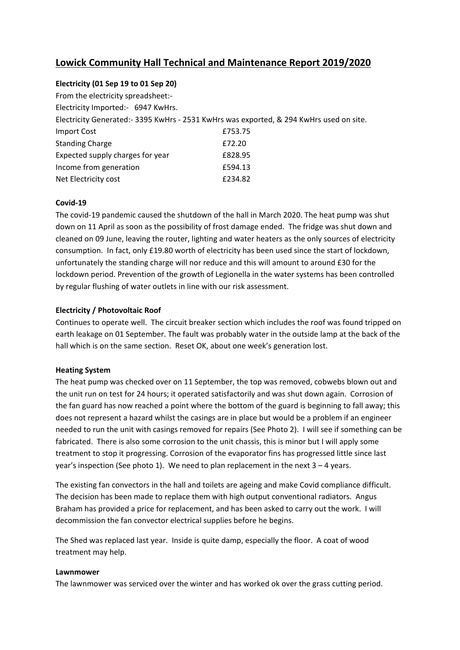# **Lowick Community Hall Technical and Maintenance Report 2019/2020**

# **Electricity (01 Sep 19 to 01 Sep 20)**

| From the electricity spreadsheet:-                                                      |         |
|-----------------------------------------------------------------------------------------|---------|
| Electricity Imported:- 6947 KwHrs.                                                      |         |
| Electricity Generated:- 3395 KwHrs - 2531 KwHrs was exported, & 294 KwHrs used on site. |         |
| <b>Import Cost</b>                                                                      | £753.75 |
| <b>Standing Charge</b>                                                                  | £72.20  |
| Expected supply charges for year                                                        | £828.95 |
| Income from generation                                                                  | £594.13 |
| Net Electricity cost                                                                    | £234.82 |

# **Covid-19**

The covid-19 pandemic caused the shutdown of the hall in March 2020. The heat pump was shut down on 11 April as soon as the possibility of frost damage ended. The fridge was shut down and cleaned on 09 June, leaving the router, lighting and water heaters as the only sources of electricity consumption. In fact, only £19.80 worth of electricity has been used since the start of lockdown, unfortunately the standing charge will nor reduce and this will amount to around £30 for the lockdown period. Prevention of the growth of Legionella in the water systems has been controlled by regular flushing of water outlets in line with our risk assessment.

# **Electricity / Photovoltaic Roof**

Continues to operate well. The circuit breaker section which includes the roof was found tripped on earth leakage on 01 September. The fault was probably water in the outside lamp at the back of the hall which is on the same section. Reset OK, about one week's generation lost.

#### **Heating System**

The heat pump was checked over on 11 September, the top was removed, cobwebs blown out and the unit run on test for 24 hours; it operated satisfactorily and was shut down again. Corrosion of the fan guard has now reached a point where the bottom of the guard is beginning to fall away; this does not represent a hazard whilst the casings are in place but would be a problem if an engineer needed to run the unit with casings removed for repairs (See Photo 2). I will see if something can be fabricated. There is also some corrosion to the unit chassis, this is minor but I will apply some treatment to stop it progressing. Corrosion of the evaporator fins has progressed little since last year's inspection (See photo 1). We need to plan replacement in the next 3 – 4 years.

The existing fan convectors in the hall and toilets are ageing and make Covid compliance difficult. The decision has been made to replace them with high output conventional radiators. Angus Braham has provided a price for replacement, and has been asked to carry out the work. I will decommission the fan convector electrical supplies before he begins.

The Shed was replaced last year. Inside is quite damp, especially the floor. A coat of wood treatment may help.

#### **Lawnmower**

The lawnmower was serviced over the winter and has worked ok over the grass cutting period.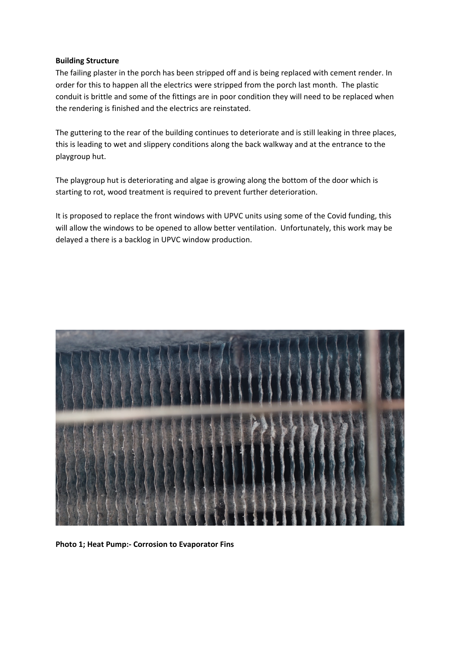#### **Building Structure**

The failing plaster in the porch has been stripped off and is being replaced with cement render. In order for this to happen all the electrics were stripped from the porch last month. The plastic conduit is brittle and some of the fittings are in poor condition they will need to be replaced when the rendering is finished and the electrics are reinstated.

The guttering to the rear of the building continues to deteriorate and is still leaking in three places, this is leading to wet and slippery conditions along the back walkway and at the entrance to the playgroup hut.

The playgroup hut is deteriorating and algae is growing along the bottom of the door which is starting to rot, wood treatment is required to prevent further deterioration.

It is proposed to replace the front windows with UPVC units using some of the Covid funding, this will allow the windows to be opened to allow better ventilation. Unfortunately, this work may be delayed a there is a backlog in UPVC window production.



**Photo 1; Heat Pump:- Corrosion to Evaporator Fins**